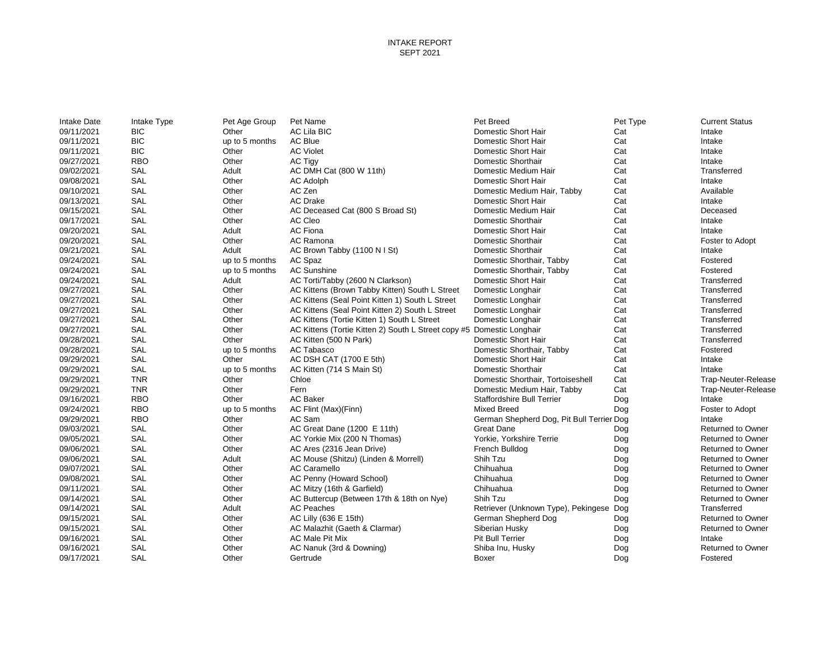| <b>Intake Date</b> | Intake Type | Pet Age Group  | Pet Name                                                              | Pet Breed                                 | Pet Type   | <b>Current Status</b>              |
|--------------------|-------------|----------------|-----------------------------------------------------------------------|-------------------------------------------|------------|------------------------------------|
| 09/11/2021         | <b>BIC</b>  | Other          | AC Lila BIC                                                           | Domestic Short Hair                       | Cat        | Intake                             |
| 09/11/2021         | <b>BIC</b>  | up to 5 months | <b>AC Blue</b>                                                        | Domestic Short Hair                       | Cat        | Intake                             |
| 09/11/2021         | <b>BIC</b>  | Other          | <b>AC Violet</b>                                                      | Domestic Short Hair                       | Cat        | Intake                             |
| 09/27/2021         | <b>RBO</b>  | Other          | <b>AC Tigy</b>                                                        | Domestic Shorthair                        | Cat        | Intake                             |
| 09/02/2021         | SAL         | Adult          | AC DMH Cat (800 W 11th)                                               | Domestic Medium Hair                      | Cat        | Transferred                        |
| 09/08/2021         | <b>SAL</b>  | Other          | <b>AC Adolph</b>                                                      | Domestic Short Hair                       | Cat        | Intake                             |
| 09/10/2021         | <b>SAL</b>  | Other          | AC Zen                                                                | Domestic Medium Hair, Tabby               | Cat        | Available                          |
| 09/13/2021         | SAL         | Other          | <b>AC Drake</b>                                                       | Domestic Short Hair                       | Cat        | Intake                             |
| 09/15/2021         | SAL         | Other          | AC Deceased Cat (800 S Broad St)                                      | Domestic Medium Hair                      | Cat        | Deceased                           |
| 09/17/2021         | <b>SAL</b>  | Other          | AC Cleo                                                               | Domestic Shorthair                        | Cat        | Intake                             |
| 09/20/2021         | SAL         | Adult          | <b>AC Fiona</b>                                                       | Domestic Short Hair                       | Cat        | Intake                             |
| 09/20/2021         | SAL         | Other          | AC Ramona                                                             | Domestic Shorthair                        | Cat        | Foster to Adopt                    |
| 09/21/2021         | <b>SAL</b>  | Adult          | AC Brown Tabby (1100 N I St)                                          | Domestic Shorthair                        | Cat        | Intake                             |
| 09/24/2021         | SAL         | up to 5 months | AC Spaz                                                               | Domestic Shorthair, Tabby                 | Cat        | Fostered                           |
| 09/24/2021         | SAL         | up to 5 months | <b>AC Sunshine</b>                                                    | Domestic Shorthair, Tabby                 | Cat        | Fostered                           |
| 09/24/2021         | SAL         | Adult          | AC Torti/Tabby (2600 N Clarkson)                                      | Domestic Short Hair                       | Cat        | Transferred                        |
| 09/27/2021         | <b>SAL</b>  | Other          | AC Kittens (Brown Tabby Kitten) South L Street                        | Domestic Longhair                         | Cat        | Transferred                        |
| 09/27/2021         | <b>SAL</b>  | Other          | AC Kittens (Seal Point Kitten 1) South L Street                       | Domestic Longhair                         | Cat        | Transferred                        |
| 09/27/2021         | SAL         | Other          | AC Kittens (Seal Point Kitten 2) South L Street                       | Domestic Longhair                         | Cat        | Transferred                        |
| 09/27/2021         | SAL         | Other          | AC Kittens (Tortie Kitten 1) South L Street                           | Domestic Longhair                         | Cat        | Transferred                        |
| 09/27/2021         | <b>SAL</b>  | Other          | AC Kittens (Tortie Kitten 2) South L Street copy #5 Domestic Longhair |                                           | Cat        | Transferred                        |
| 09/28/2021         | SAL         | Other          | AC Kitten (500 N Park)                                                | Domestic Short Hair                       | Cat        | Transferred                        |
| 09/28/2021         | SAL         | up to 5 months | AC Tabasco                                                            | Domestic Shorthair, Tabby                 | Cat        | Fostered                           |
| 09/29/2021         | <b>SAL</b>  | Other          | AC DSH CAT (1700 E 5th)                                               | Domestic Short Hair                       | Cat        | Intake                             |
| 09/29/2021         | SAL         | up to 5 months | AC Kitten (714 S Main St)                                             | Domestic Shorthair                        | Cat        | Intake                             |
| 09/29/2021         | <b>TNR</b>  | Other          | Chloe                                                                 | Domestic Shorthair, Tortoiseshell         | Cat        | Trap-Neuter-Release                |
| 09/29/2021         | <b>TNR</b>  | Other          | Fern                                                                  | Domestic Medium Hair, Tabby               | Cat        | Trap-Neuter-Release                |
| 09/16/2021         | <b>RBO</b>  | Other          | <b>AC Baker</b>                                                       | <b>Staffordshire Bull Terrier</b>         | Dog        | Intake                             |
| 09/24/2021         | <b>RBO</b>  | up to 5 months | AC Flint (Max)(Finn)                                                  | <b>Mixed Breed</b>                        | Dog        | Foster to Adopt                    |
| 09/29/2021         | <b>RBO</b>  | Other          | AC Sam                                                                | German Shepherd Dog, Pit Bull Terrier Dog |            | Intake                             |
| 09/03/2021         | SAL         | Other          | AC Great Dane (1200 E 11th)                                           | <b>Great Dane</b>                         | Dog        | <b>Returned to Owner</b>           |
| 09/05/2021         | <b>SAL</b>  | Other          | AC Yorkie Mix (200 N Thomas)                                          | Yorkie, Yorkshire Terrie                  | Dog        | <b>Returned to Owner</b>           |
| 09/06/2021         | SAL         | Other          | AC Ares (2316 Jean Drive)                                             | French Bulldog                            | Dog        | <b>Returned to Owner</b>           |
| 09/06/2021         | <b>SAL</b>  | Adult          | AC Mouse (Shitzu) (Linden & Morrell)                                  | Shih Tzu                                  | Dog        | <b>Returned to Owner</b>           |
| 09/07/2021         | <b>SAL</b>  | Other          | <b>AC Caramello</b>                                                   | Chihuahua                                 | Dog        | <b>Returned to Owner</b>           |
| 09/08/2021         | SAL         | Other          | AC Penny (Howard School)                                              | Chihuahua                                 | Dog        | <b>Returned to Owner</b>           |
| 09/11/2021         | SAL         | Other          | AC Mitzy (16th & Garfield)                                            | Chihuahua                                 | Dog        | <b>Returned to Owner</b>           |
| 09/14/2021         | <b>SAL</b>  | Other          | AC Buttercup (Between 17th & 18th on Nye)                             | Shih Tzu                                  | Dog        | <b>Returned to Owner</b>           |
| 09/14/2021         | SAL         | Adult          | <b>AC Peaches</b>                                                     | Retriever (Unknown Type), Pekingese Dog   |            | Transferred                        |
| 09/15/2021         | <b>SAL</b>  | Other          | AC Lilly (636 E 15th)                                                 | German Shepherd Dog                       | Dog        | <b>Returned to Owner</b>           |
| 09/15/2021         | SAL         | Other          | AC Malazhit (Gaeth & Clarmar)                                         | Siberian Husky                            |            |                                    |
| 09/16/2021         | SAL         | Other          | AC Male Pit Mix                                                       | Pit Bull Terrier                          | Dog        | <b>Returned to Owner</b><br>Intake |
| 09/16/2021         | SAL         | Other          | AC Nanuk (3rd & Downing)                                              | Shiba Inu, Husky                          | Dog<br>Dog | <b>Returned to Owner</b>           |
| 09/17/2021         | SAL         |                |                                                                       |                                           |            |                                    |
|                    |             | Other          | Gertrude                                                              | Boxer                                     | Dog        | Fostered                           |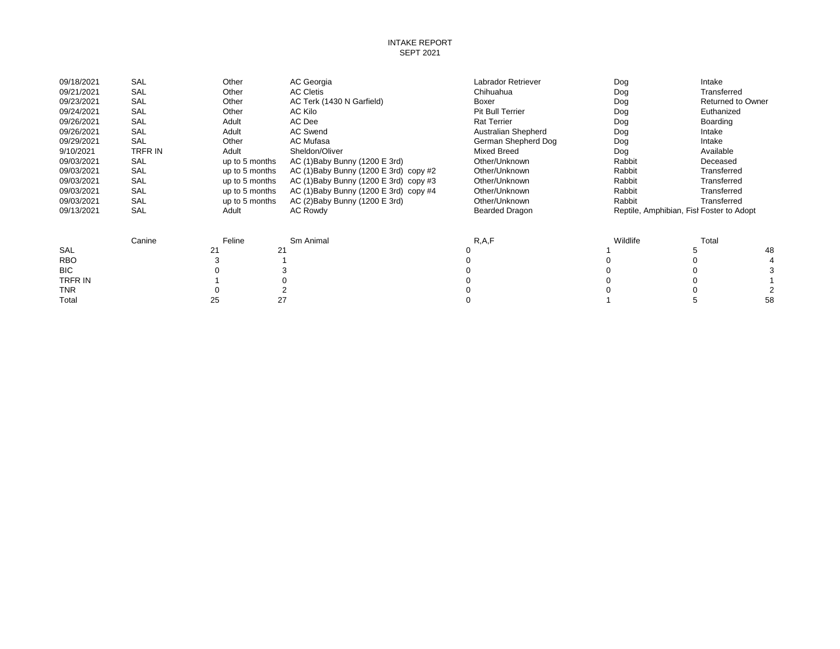### INTAKE REPORT SEPT 2021

| 09/18/2021 | SAL     | Other          | AC Georgia                               | Labrador Retriever  | Dog      | Intake                                   |    |
|------------|---------|----------------|------------------------------------------|---------------------|----------|------------------------------------------|----|
| 09/21/2021 | SAL     | Other          | <b>AC Cletis</b>                         | Chihuahua           | Dog      | Transferred                              |    |
| 09/23/2021 | SAL     | Other          | AC Terk (1430 N Garfield)                | Boxer               | Dog      | <b>Returned to Owner</b>                 |    |
| 09/24/2021 | SAL     | Other          | AC Kilo                                  | Pit Bull Terrier    | Dog      | Euthanized                               |    |
| 09/26/2021 | SAL     | Adult          | AC Dee                                   | <b>Rat Terrier</b>  | Dog      | Boarding                                 |    |
| 09/26/2021 | SAL     | Adult          | <b>AC Swend</b>                          | Australian Shepherd | Dog      | Intake                                   |    |
| 09/29/2021 | SAL     | Other          | AC Mufasa                                | German Shepherd Dog | Dog      | Intake                                   |    |
| 9/10/2021  | TRFR IN | Adult          | Sheldon/Oliver                           | <b>Mixed Breed</b>  | Dog      | Available                                |    |
| 09/03/2021 | SAL     | up to 5 months | AC (1) Baby Bunny (1200 E 3rd)           | Other/Unknown       | Rabbit   | Deceased                                 |    |
| 09/03/2021 | SAL     | up to 5 months | AC (1) Baby Bunny (1200 E 3rd) copy $#2$ | Other/Unknown       | Rabbit   | Transferred                              |    |
| 09/03/2021 | SAL     | up to 5 months | AC (1) Baby Bunny (1200 E 3rd) copy #3   | Other/Unknown       | Rabbit   | Transferred                              |    |
| 09/03/2021 | SAL     | up to 5 months | AC (1) Baby Bunny (1200 E 3rd) copy #4   | Other/Unknown       | Rabbit   | Transferred                              |    |
| 09/03/2021 | SAL     | up to 5 months | AC (2) Baby Bunny (1200 E 3rd)           | Other/Unknown       | Rabbit   | Transferred                              |    |
| 09/13/2021 | SAL     | Adult          | <b>AC Rowdy</b>                          | Bearded Dragon      |          | Reptile, Amphibian, Fist Foster to Adopt |    |
|            | Canine  | Feline         | Sm Animal                                | R, A, F             | Wildlife | Total                                    |    |
| SAL        |         | 21             | 21                                       | 0                   |          |                                          | 48 |
| <b>RBO</b> |         |                |                                          |                     |          |                                          |    |
| BIC.       |         |                |                                          |                     |          |                                          |    |
| TRFR IN    |         |                |                                          |                     |          |                                          |    |
| <b>TNR</b> |         |                |                                          |                     |          |                                          |    |
| Total      |         | 25             | 27                                       |                     |          |                                          | 58 |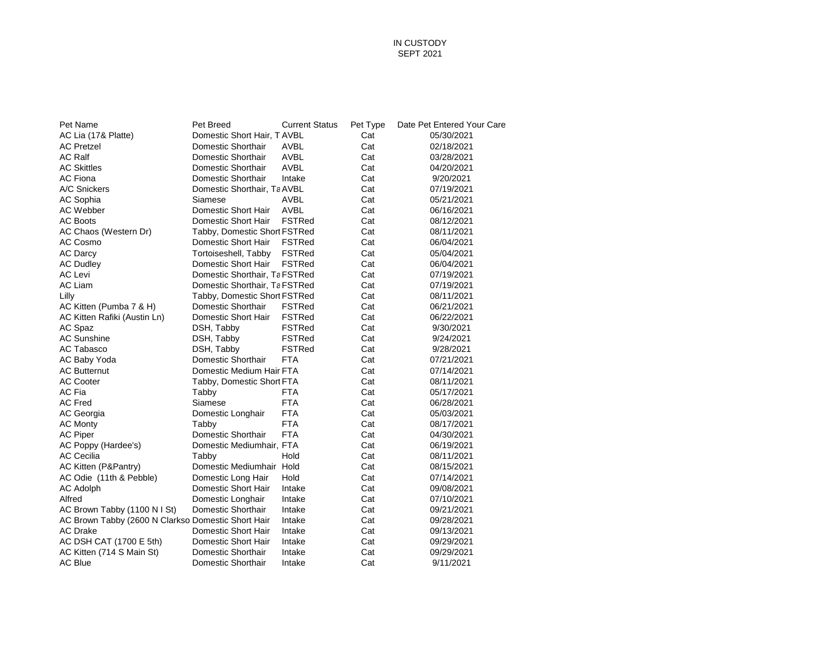## IN CUSTODY SEPT 2021

| Pet Name                                           | Pet Breed                     | <b>Current Status</b> | Pet Type | Date Pet Entered Your Care |
|----------------------------------------------------|-------------------------------|-----------------------|----------|----------------------------|
| AC Lia (17& Platte)                                | Domestic Short Hair, T AVBL   |                       | Cat      | 05/30/2021                 |
| <b>AC Pretzel</b>                                  | Domestic Shorthair            | AVBL                  | Cat      | 02/18/2021                 |
| <b>AC Ralf</b>                                     | Domestic Shorthair            | <b>AVBL</b>           | Cat      | 03/28/2021                 |
| <b>AC Skittles</b>                                 | Domestic Shorthair            | AVBL                  | Cat      | 04/20/2021                 |
| <b>AC Fiona</b>                                    | Domestic Shorthair            | Intake                | Cat      | 9/20/2021                  |
| A/C Snickers                                       | Domestic Shorthair, Ta AVBL   |                       | Cat      | 07/19/2021                 |
| AC Sophia                                          | Siamese                       | AVBL                  | Cat      | 05/21/2021                 |
| AC Webber                                          | Domestic Short Hair           | <b>AVBL</b>           | Cat      | 06/16/2021                 |
| AC Boots                                           | Domestic Short Hair           | <b>FSTRed</b>         | Cat      | 08/12/2021                 |
| AC Chaos (Western Dr)                              | Tabby, Domestic Short FSTRed  |                       | Cat      | 08/11/2021                 |
| AC Cosmo                                           | Domestic Short Hair           | <b>FSTRed</b>         | Cat      | 06/04/2021                 |
| <b>AC Darcy</b>                                    | Tortoiseshell, Tabby          | <b>FSTRed</b>         | Cat      | 05/04/2021                 |
| <b>AC Dudley</b>                                   | Domestic Short Hair           | <b>FSTRed</b>         | Cat      | 06/04/2021                 |
| AC Levi                                            | Domestic Shorthair, Ta FSTRed |                       | Cat      | 07/19/2021                 |
| AC Liam                                            | Domestic Shorthair, Ta FSTRed |                       | Cat      | 07/19/2021                 |
| Lilly                                              | Tabby, Domestic Short FSTRed  |                       | Cat      | 08/11/2021                 |
| AC Kitten (Pumba 7 & H)                            | Domestic Shorthair            | <b>FSTRed</b>         | Cat      | 06/21/2021                 |
| AC Kitten Rafiki (Austin Ln)                       | Domestic Short Hair           | <b>FSTRed</b>         | Cat      | 06/22/2021                 |
| AC Spaz                                            | DSH, Tabby                    | <b>FSTRed</b>         | Cat      | 9/30/2021                  |
| AC Sunshine                                        | DSH, Tabby                    | <b>FSTRed</b>         | Cat      | 9/24/2021                  |
| AC Tabasco                                         | DSH, Tabby                    | <b>FSTRed</b>         | Cat      | 9/28/2021                  |
| AC Baby Yoda                                       | Domestic Shorthair            | <b>FTA</b>            | Cat      | 07/21/2021                 |
| <b>AC Butternut</b>                                | Domestic Medium Hair FTA      |                       | Cat      | 07/14/2021                 |
| AC Cooter                                          | Tabby, Domestic Short FTA     |                       | Cat      | 08/11/2021                 |
| AC Fia                                             | Tabby                         | <b>FTA</b>            | Cat      | 05/17/2021                 |
| <b>AC Fred</b>                                     | Siamese                       | <b>FTA</b>            | Cat      | 06/28/2021                 |
| AC Georgia                                         | Domestic Longhair             | <b>FTA</b>            | Cat      | 05/03/2021                 |
| <b>AC Monty</b>                                    | Tabby                         | <b>FTA</b>            | Cat      | 08/17/2021                 |
| AC Piper                                           | Domestic Shorthair            | <b>FTA</b>            | Cat      | 04/30/2021                 |
| AC Poppy (Hardee's)                                | Domestic Mediumhair, FTA      |                       | Cat      | 06/19/2021                 |
| <b>AC Cecilia</b>                                  | Tabby                         | Hold                  | Cat      | 08/11/2021                 |
| AC Kitten (P&Pantry)                               | Domestic Mediumhair Hold      |                       | Cat      | 08/15/2021                 |
| AC Odie (11th & Pebble)                            | Domestic Long Hair            | Hold                  | Cat      | 07/14/2021                 |
| AC Adolph                                          | Domestic Short Hair           | Intake                | Cat      | 09/08/2021                 |
| Alfred                                             | Domestic Longhair             | Intake                | Cat      | 07/10/2021                 |
| AC Brown Tabby (1100 N I St)                       | Domestic Shorthair            | Intake                | Cat      | 09/21/2021                 |
| AC Brown Tabby (2600 N Clarkso Domestic Short Hair |                               | Intake                | Cat      | 09/28/2021                 |
| <b>AC Drake</b>                                    | Domestic Short Hair           | Intake                | Cat      | 09/13/2021                 |
| AC DSH CAT (1700 E 5th)                            | Domestic Short Hair           | Intake                | Cat      | 09/29/2021                 |
| AC Kitten (714 S Main St)                          | Domestic Shorthair            | Intake                | Cat      | 09/29/2021                 |
| AC Blue                                            | Domestic Shorthair            | Intake                | Cat      | 9/11/2021                  |
|                                                    |                               |                       |          |                            |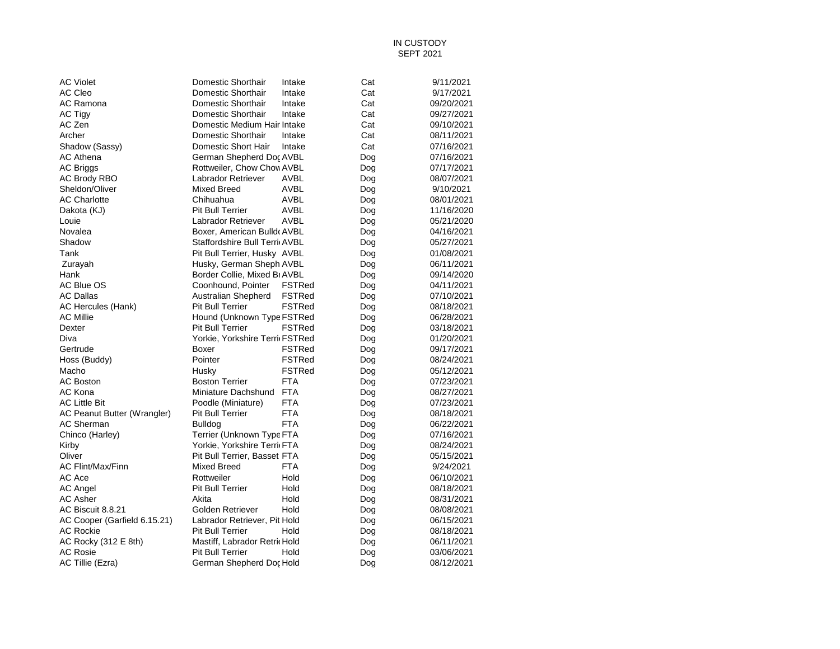## IN CUSTODY SEPT 2021

| <b>AC Violet</b>             | Domestic Shorthair             | Intake        | Cat | 9/11/2021  |
|------------------------------|--------------------------------|---------------|-----|------------|
| AC Cleo                      | Domestic Shorthair             | Intake        | Cat | 9/17/2021  |
| AC Ramona                    | Domestic Shorthair             | Intake        | Cat | 09/20/2021 |
| AC Tigy                      | Domestic Shorthair             | Intake        | Cat | 09/27/2021 |
| AC Zen                       | Domestic Medium Hair Intake    |               | Cat | 09/10/2021 |
| Archer                       | Domestic Shorthair             | Intake        | Cat | 08/11/2021 |
| Shadow (Sassy)               | Domestic Short Hair            | Intake        | Cat | 07/16/2021 |
| <b>AC Athena</b>             | German Shepherd Doc AVBL       |               | Dog | 07/16/2021 |
| <b>AC Briggs</b>             | Rottweiler, Chow Chov AVBL     |               | Dog | 07/17/2021 |
| <b>AC Brody RBO</b>          | Labrador Retriever             | AVBL          | Dog | 08/07/2021 |
| Sheldon/Oliver               | Mixed Breed                    | <b>AVBL</b>   | Dog | 9/10/2021  |
| <b>AC Charlotte</b>          | Chihuahua                      | AVBL          | Dog | 08/01/2021 |
| Dakota (KJ)                  | Pit Bull Terrier               | AVBL          | Dog | 11/16/2020 |
| Louie                        | Labrador Retriever             | AVBL          | Dog | 05/21/2020 |
| Novalea                      | Boxer, American Bulld AVBL     |               | Dog | 04/16/2021 |
| Shadow                       | Staffordshire Bull Terri AVBL  |               | Dog | 05/27/2021 |
| Tank                         | Pit Bull Terrier, Husky AVBL   |               | Dog | 01/08/2021 |
| Zurayah                      | Husky, German Sheph AVBL       |               | Dog | 06/11/2021 |
| Hank                         | Border Collie, Mixed Br AVBL   |               | Dog | 09/14/2020 |
| AC Blue OS                   | Coonhound, Pointer             | <b>FSTRed</b> | Dog | 04/11/2021 |
| <b>AC Dallas</b>             | Australian Shepherd            | <b>FSTRed</b> | Dog | 07/10/2021 |
| AC Hercules (Hank)           | Pit Bull Terrier               | <b>FSTRed</b> | Dog | 08/18/2021 |
| <b>AC Millie</b>             | Hound (Unknown Type FSTRed     |               | Dog | 06/28/2021 |
| Dexter                       | <b>Pit Bull Terrier</b>        | <b>FSTRed</b> | Dog | 03/18/2021 |
| Diva                         | Yorkie, Yorkshire Terri FSTRed |               | Dog | 01/20/2021 |
| Gertrude                     | Boxer                          | <b>FSTRed</b> | Dog | 09/17/2021 |
| Hoss (Buddy)                 | Pointer                        | <b>FSTRed</b> | Dog | 08/24/2021 |
| Macho                        | Husky                          | <b>FSTRed</b> | Dog | 05/12/2021 |
| <b>AC Boston</b>             | <b>Boston Terrier</b>          | <b>FTA</b>    | Dog | 07/23/2021 |
| AC Kona                      | Miniature Dachshund FTA        |               | Dog | 08/27/2021 |
| <b>AC Little Bit</b>         | Poodle (Miniature)             | <b>FTA</b>    | Dog | 07/23/2021 |
| AC Peanut Butter (Wrangler)  | <b>Pit Bull Terrier</b>        | <b>FTA</b>    | Dog | 08/18/2021 |
| AC Sherman                   | <b>Bulldog</b>                 | <b>FTA</b>    |     | 06/22/2021 |
|                              |                                |               | Dog |            |
| Chinco (Harley)              | Terrier (Unknown Type FTA      |               | Dog | 07/16/2021 |
| Kirby                        | Yorkie, Yorkshire Terri FTA    |               | Dog | 08/24/2021 |
| Oliver                       | Pit Bull Terrier, Basset FTA   |               | Dog | 05/15/2021 |
| <b>AC Flint/Max/Finn</b>     | <b>Mixed Breed</b>             | <b>FTA</b>    | Dog | 9/24/2021  |
| AC Ace                       | Rottweiler                     | Hold          | Dog | 06/10/2021 |
| <b>AC Angel</b>              | <b>Pit Bull Terrier</b>        | Hold          | Dog | 08/18/2021 |
| <b>AC Asher</b>              | Akita                          | Hold          | Dog | 08/31/2021 |
| AC Biscuit 8.8.21            | Golden Retriever               | Hold          | Dog | 08/08/2021 |
| AC Cooper (Garfield 6.15.21) | Labrador Retriever, Pit Hold   |               | Dog | 06/15/2021 |
| <b>AC Rockie</b>             | <b>Pit Bull Terrier</b>        | Hold          | Dog | 08/18/2021 |
| AC Rocky (312 E 8th)         | Mastiff, Labrador RetricHold   |               | Dog | 06/11/2021 |
| <b>AC Rosie</b>              | <b>Pit Bull Terrier</b>        | Hold          | Dog | 03/06/2021 |
| AC Tillie (Ezra)             | German Shepherd Doc Hold       |               | Dog | 08/12/2021 |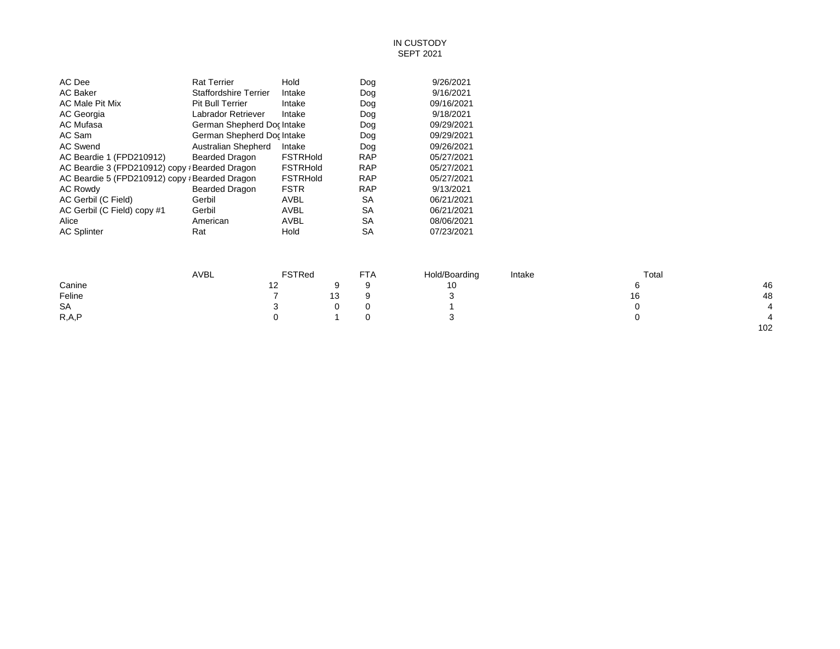## IN CUSTODY SEPT 2021

| AC Dee                                         | <b>Rat Terrier</b>           | Hold            | Dog        | 9/26/2021  |
|------------------------------------------------|------------------------------|-----------------|------------|------------|
| <b>AC Baker</b>                                | <b>Staffordshire Terrier</b> | Intake          | Dog        | 9/16/2021  |
| AC Male Pit Mix                                | <b>Pit Bull Terrier</b>      | Intake          | Dog        | 09/16/2021 |
| AC Georgia                                     | Labrador Retriever           | Intake          | Dog        | 9/18/2021  |
| AC Mufasa                                      | German Shepherd Doc Intake   |                 | Dog        | 09/29/2021 |
| AC Sam                                         | German Shepherd Doc Intake   |                 | Dog        | 09/29/2021 |
| <b>AC Swend</b>                                | Australian Shepherd          | Intake          | Dog        | 09/26/2021 |
| AC Beardie 1 (FPD210912)                       | Bearded Dragon               | <b>FSTRHold</b> | <b>RAP</b> | 05/27/2021 |
| AC Beardie 3 (FPD210912) copy ; Bearded Dragon |                              | <b>FSTRHold</b> | <b>RAP</b> | 05/27/2021 |
| AC Beardie 5 (FPD210912) copy ; Bearded Dragon |                              | <b>FSTRHold</b> | <b>RAP</b> | 05/27/2021 |
| AC Rowdy                                       | <b>Bearded Dragon</b>        | <b>FSTR</b>     | <b>RAP</b> | 9/13/2021  |
| AC Gerbil (C Field)                            | Gerbil                       | AVBL            | SA         | 06/21/2021 |
| AC Gerbil (C Field) copy #1                    | Gerbil                       | AVBL            | SA         | 06/21/2021 |
| Alice                                          | American                     | AVBL            | SA         | 08/06/2021 |
| <b>AC Splinter</b>                             | Rat                          | Hold            | SА         | 07/23/2021 |
|                                                |                              |                 |            |            |

|         | <b>AVBL</b> | <b>FSTRed</b> |    | <b>FTA</b> | Hold/Boarding | Intake | Total |                |
|---------|-------------|---------------|----|------------|---------------|--------|-------|----------------|
| Canine  |             | 12            | Q  |            | 10            |        |       | 46             |
| Feline  |             |               | 13 |            |               |        | 16    | 48             |
| SA      |             | ີ             |    |            |               |        |       | $\overline{4}$ |
| R, A, P |             | 0             |    |            |               |        |       |                |
|         |             |               |    |            |               |        |       | 102            |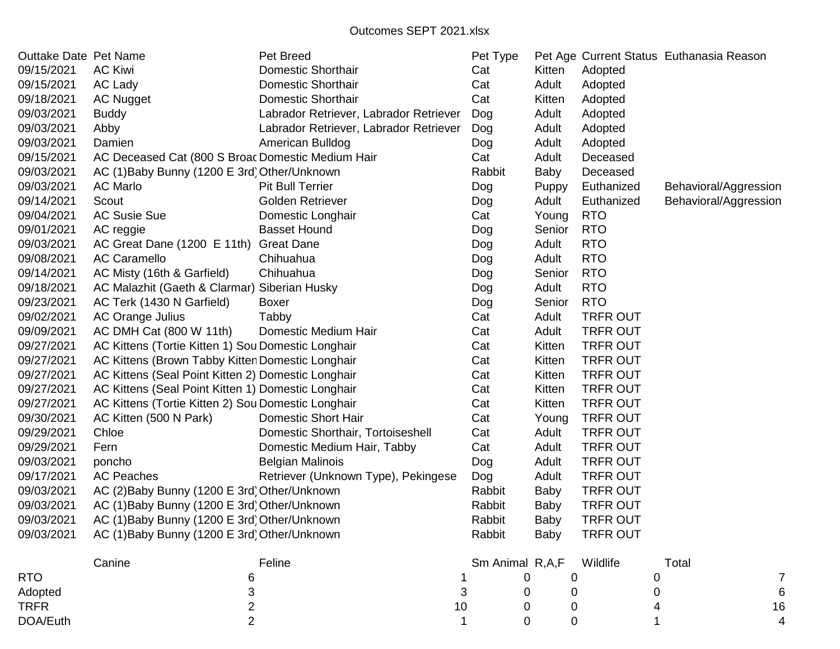| Outtake Date Pet Name |                                                    | Pet Breed                              |    | Pet Type        |             |                 | Pet Age Current Status Euthanasia Reason |    |
|-----------------------|----------------------------------------------------|----------------------------------------|----|-----------------|-------------|-----------------|------------------------------------------|----|
| 09/15/2021            | <b>AC Kiwi</b>                                     | <b>Domestic Shorthair</b>              |    | Cat             | Kitten      | Adopted         |                                          |    |
| 09/15/2021            | AC Lady                                            | <b>Domestic Shorthair</b>              |    | Cat             | Adult       | Adopted         |                                          |    |
| 09/18/2021            | <b>AC Nugget</b>                                   | <b>Domestic Shorthair</b>              |    | Cat             | Kitten      | Adopted         |                                          |    |
| 09/03/2021            | <b>Buddy</b>                                       | Labrador Retriever, Labrador Retriever |    | Dog             | Adult       | Adopted         |                                          |    |
| 09/03/2021            | Abby                                               | Labrador Retriever, Labrador Retriever |    | Dog             | Adult       | Adopted         |                                          |    |
| 09/03/2021            | Damien                                             | American Bulldog                       |    | Dog             | Adult       | Adopted         |                                          |    |
| 09/15/2021            | AC Deceased Cat (800 S Broac Domestic Medium Hair  |                                        |    | Cat             | Adult       | Deceased        |                                          |    |
| 09/03/2021            | AC (1) Baby Bunny (1200 E 3rd) Other/Unknown       |                                        |    | Rabbit          | Baby        | Deceased        |                                          |    |
| 09/03/2021            | <b>AC Marlo</b>                                    | <b>Pit Bull Terrier</b>                |    | Dog             | Puppy       | Euthanized      | Behavioral/Aggression                    |    |
| 09/14/2021            | Scout                                              | <b>Golden Retriever</b>                |    | Dog             | Adult       | Euthanized      | Behavioral/Aggression                    |    |
| 09/04/2021            | <b>AC Susie Sue</b>                                | Domestic Longhair                      |    | Cat             | Young       | <b>RTO</b>      |                                          |    |
| 09/01/2021            | AC reggie                                          | <b>Basset Hound</b>                    |    | Dog             | Senior      | <b>RTO</b>      |                                          |    |
| 09/03/2021            | AC Great Dane (1200 E 11th) Great Dane             |                                        |    | Dog             | Adult       | <b>RTO</b>      |                                          |    |
| 09/08/2021            | <b>AC Caramello</b>                                | Chihuahua                              |    | Dog             | Adult       | <b>RTO</b>      |                                          |    |
| 09/14/2021            | AC Misty (16th & Garfield)                         | Chihuahua                              |    | Dog             | Senior      | <b>RTO</b>      |                                          |    |
| 09/18/2021            | AC Malazhit (Gaeth & Clarmar) Siberian Husky       |                                        |    | Dog             | Adult       | <b>RTO</b>      |                                          |    |
| 09/23/2021            | AC Terk (1430 N Garfield)                          | Boxer                                  |    | Dog             | Senior      | <b>RTO</b>      |                                          |    |
| 09/02/2021            | AC Orange Julius                                   | Tabby                                  |    | Cat             | Adult       | <b>TRFR OUT</b> |                                          |    |
| 09/09/2021            | AC DMH Cat (800 W 11th)                            | Domestic Medium Hair                   |    | Cat             | Adult       | <b>TRFR OUT</b> |                                          |    |
| 09/27/2021            | AC Kittens (Tortie Kitten 1) Sou Domestic Longhair |                                        |    | Cat             | Kitten      | <b>TRFR OUT</b> |                                          |    |
| 09/27/2021            | AC Kittens (Brown Tabby Kitten Domestic Longhair   |                                        |    | Cat             | Kitten      | <b>TRFR OUT</b> |                                          |    |
| 09/27/2021            | AC Kittens (Seal Point Kitten 2) Domestic Longhair |                                        |    | Cat             | Kitten      | <b>TRFR OUT</b> |                                          |    |
| 09/27/2021            | AC Kittens (Seal Point Kitten 1) Domestic Longhair |                                        |    | Cat             | Kitten      | <b>TRFR OUT</b> |                                          |    |
| 09/27/2021            | AC Kittens (Tortie Kitten 2) Sou Domestic Longhair |                                        |    | Cat             | Kitten      | <b>TRFR OUT</b> |                                          |    |
| 09/30/2021            | AC Kitten (500 N Park)                             | <b>Domestic Short Hair</b>             |    | Cat             | Young       | <b>TRFR OUT</b> |                                          |    |
| 09/29/2021            | Chloe                                              | Domestic Shorthair, Tortoiseshell      |    | Cat             | Adult       | <b>TRFR OUT</b> |                                          |    |
| 09/29/2021            | Fern                                               | Domestic Medium Hair, Tabby            |    | Cat             | Adult       | <b>TRFR OUT</b> |                                          |    |
| 09/03/2021            | poncho                                             | <b>Belgian Malinois</b>                |    | Dog             | Adult       | <b>TRFR OUT</b> |                                          |    |
| 09/17/2021            | <b>AC Peaches</b>                                  | Retriever (Unknown Type), Pekingese    |    | Dog             | Adult       | <b>TRFR OUT</b> |                                          |    |
| 09/03/2021            | AC (2) Baby Bunny (1200 E 3rd) Other/Unknown       |                                        |    | Rabbit          | Baby        | <b>TRFR OUT</b> |                                          |    |
| 09/03/2021            | AC (1) Baby Bunny (1200 E 3rd) Other/Unknown       |                                        |    | Rabbit          | Baby        | <b>TRFR OUT</b> |                                          |    |
| 09/03/2021            | AC (1) Baby Bunny (1200 E 3rd) Other/Unknown       |                                        |    | Rabbit          | <b>Baby</b> | <b>TRFR OUT</b> |                                          |    |
| 09/03/2021            | AC (1) Baby Bunny (1200 E 3rd) Other/Unknown       |                                        |    | Rabbit          | Baby        | <b>TRFR OUT</b> |                                          |    |
|                       | Canine                                             | Feline                                 |    | Sm Animal R,A,F |             | Wildlife        | Total                                    |    |
| <b>RTO</b>            | 6                                                  |                                        |    |                 | 0<br>0      |                 | 0                                        | 7  |
| Adopted               |                                                    |                                        |    |                 | 0           |                 |                                          | 6  |
| <b>TRFR</b>           | 2                                                  |                                        | 10 |                 | O<br>O      |                 |                                          | 16 |
| DOA/Euth              | 2                                                  |                                        |    |                 | 0<br>0      |                 |                                          |    |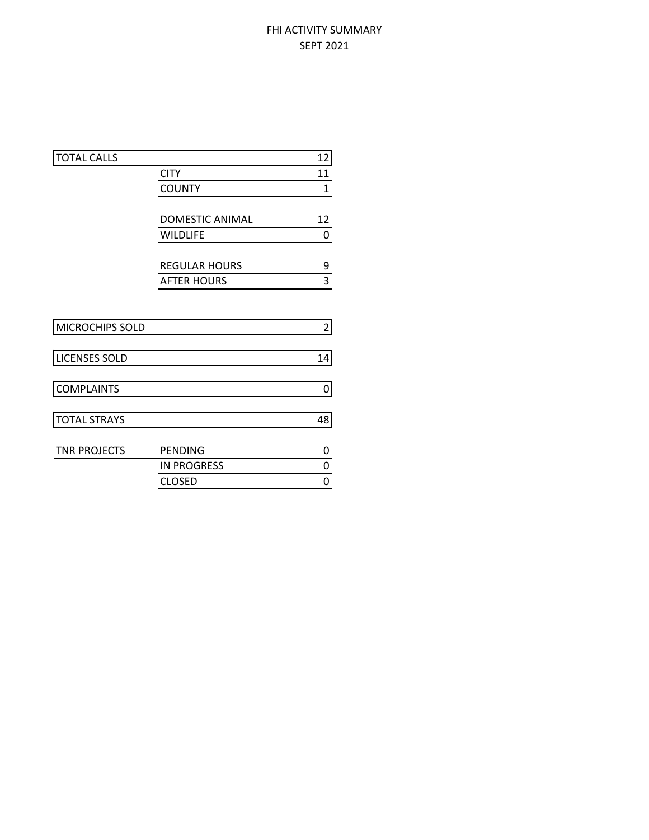# FHI ACTIVITY SUMMARY SEPT 2021

| <b>TOTAL CALLS</b>   |                        | 12             |
|----------------------|------------------------|----------------|
|                      | <b>CITY</b>            | 11             |
|                      | <b>COUNTY</b>          | $\mathbf{1}$   |
|                      |                        |                |
|                      | <b>DOMESTIC ANIMAL</b> | 12             |
|                      | <b>WILDLIFE</b>        | 0              |
|                      |                        |                |
|                      | <b>REGULAR HOURS</b>   | 9              |
|                      | <b>AFTER HOURS</b>     | 3              |
|                      |                        |                |
| MICROCHIPS SOLD      |                        | $\overline{2}$ |
| <b>LICENSES SOLD</b> |                        | 14             |
| <b>COMPLAINTS</b>    |                        | 0              |
|                      |                        |                |
| <b>TOTAL STRAYS</b>  |                        | 48             |
| <b>TNR PROJECTS</b>  | <b>PENDING</b>         | 0              |
|                      | <b>IN PROGRESS</b>     | 0              |
|                      | <b>CLOSED</b>          | 0              |